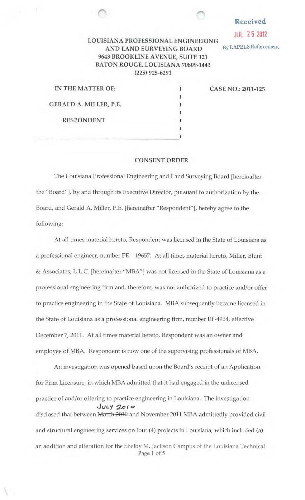## Received

JUL 2 5 2012

## LOUISIANA PROFESSIONAL ENGINEERING AND LAND SURVEYING BOARD By LAPELS Enforcement 9643 BROOKLINE A VENUE, SUITE 121 BATON ROUGE, LOUISIANA 70809-1443 (225) 925-6291

|  |                   | IN THE MATTER OF:      |  |
|--|-------------------|------------------------|--|
|  |                   | GERALD A. MILLER, P.E. |  |
|  | <b>RESPONDENT</b> |                        |  |
|  |                   |                        |  |

CASE NO.: 2011-125

## CONSENT ORDER

) ) ) ) ) )

The Louisiana Professional Engineering and Land Surveying Board [hereinafter the "Board"], by and through its Executive Director, pursuant to authorization by the Board, and Gerald A. Miller, P.E. [hereinafter "Respondent"], hereby agree to the following:

At all times material hereto, Respondent was licensed in the State of Louisiana as a professional engineer, number PE - 19657. At all times material hereto, Miller, Blunt & Associates, L.L.C. [hereinafter "MBA"] was not licensed in the State of Louisiana as a professional engineering firm and, therefore, was not authorized to practice and/or offer to practice engineering in the State of Louisiana. MBA subsequently became licensed in the State of Louisiana as a professional engineering firm, nwnber EF-4964, effective December 7, 2011. At all times material hereto, Respondent was an owner and employee of MBA. Respondent is now one of the supervising professionals of MBA.

An investigation was opened based upon the Board's receipt of an Application for Finn Licensure, in which MBA admitted that it had engaged in the unlicensed practice of and/or offering to practice engineering in Louisiana. The investigation ..Ju1..y -:Jo 1 *o*  disclosed that between March 2010 and November 2011 MBA admittedly provided civil and structural engineering services on four (4) projects in Louisiana, which included (a) an addition and aJteration for the Shelby M. Jackson Campus of the Louisiana Technical Page 1 of 5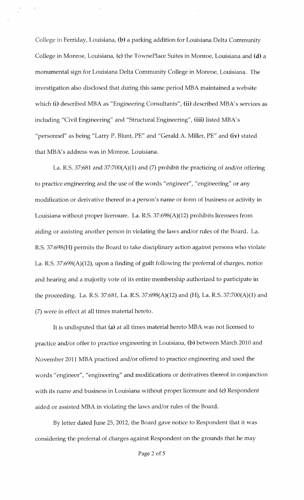College in Ferriday, Louisiana, **(b)** a parking addition for Louisiana Delta Community College in Monroe, Louisiana, (c) the TownePlace Suites in Monroe, Louisiana and **(d)** a momunental sign for Louisiana Delta Commmuty College in Monroe, Louisiana. The investigation also disclosed that during this same period MBA maintained a website which **(i)** described MBA as "Engineering Consultants", **(ii)** described MBA's services as including "Civil Engineering" and "Structural Engineering", **(iii)** listed MBA's "personnel" as being "Larry P. Blunt, PE" and "Gerald A. Miller, PE" and **(iv)** stated that MBA's address was in Monroe, Louisiana.

La. R.S. 37:681 and 37:700(A)(1) and (7) prohibit the practicing of and/or offering to practice engineering and the use of the words "engineer", "engineering" or any modification or derivative thereof in a person's name or form of business or activity in Louisiana without proper licensure. La. R.S. 37:698(A)(12) prohibits licensees from aiding or assisting another person in violating the laws and/or rules of the Board. La. R.S. 37:698(H) permits the Board to take disciplinary action against persons who violate La. R.S. 37:698(A)(12), upon a finding of guilt following the preferral of charges, notice and hearing and a majority vote of its entire membership authorized to participate in the proceeding. La. R.S. 37:681, La. R.S. 37:698(A)(12) and (H), La. R.S. 37:700(A)(1) and (7) were in effect at all times material hereto.

It is undisputed that **(a)** at all times material hereto MBA was not licensed to practice and/or offer to practice engineering in Louisiana, **(b)** between March 2010 and November 2011 MBA practiced and/or offered to practice engineering and used the words "engineer", "engineering" and modifications or derivatives thereof in conjunction with its name and business in Louisiana without proper licensure and **(c)** Respondent aided or assisted MBA in violating the laws and/or rules of the Board.

By letter dated June 25, 2012, the Board gave notice to Respondent that it was considering the preferral of charges against Respondent on the grounds that he may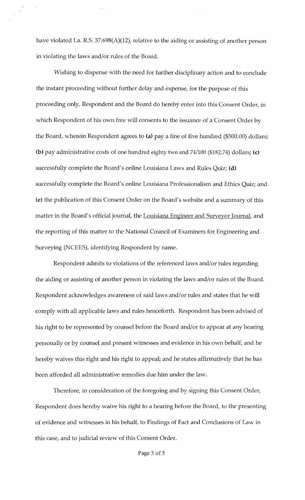have violated La. R.S. 37:698(A)(12), relative to the aiding or assisting of another person in violating the laws and/or rules of the Board.

Wishing to dispense with the need for further disciplinary action and to conclude the instant proceeding without further delay and expense, for the purpose of this proceeding only, Respondent and the Board do hereby enter into this Consent Order, in which Respondent of his own free will consents to the issuance of a Consent Order by the Board, wherein Respondent agrees to (a) pay a fine of five hundred (\$500.00) dollars; (b) pay administrative costs of one hundred eighty two and 74/100 (\$182.74) dollars; (c) successfully complete the Board's online Louisiana Laws and Rules Quiz; (d) successfully complete the Board's online Louisiana Professionalism and Ethics Quiz; and (e) the publication of this Consent Order on the Board's website and a summary of this matter in the Board's official journal, the Louisiana Engineer and Surveyor Journal, and the reporting of this matter to the National Council of Examiners for Engineering and Surveying (NCEES), identifying Respondent by name.

Respondent admits to violations of the referenced laws and/or rules regarding the aiding or assisting of another person in violating the laws and/or rules of the Board. Respondent acknowledges awareness of said laws and/or rules and states that he will comply with all applicable laws and rules henceforth. Respondent has been advised of his right to be represented by counsel before the Board and/or to appear at any hearing personally or by counsel and present witnesses and evidence in his own behalf, and he hereby waives this right and his right to appeal; and he states affirmatively that he has been afforded all administrative remedies due him under the law.

Therefore, in consideration of the foregoing and by signing this Consent Order, Respondent does hereby waive his right to a hearing before the Board, to the presenting of evidence and witnesses in his behalf, to Findings of Fact and Conclusions of Law in this case, and to judicial review of this Consent Order.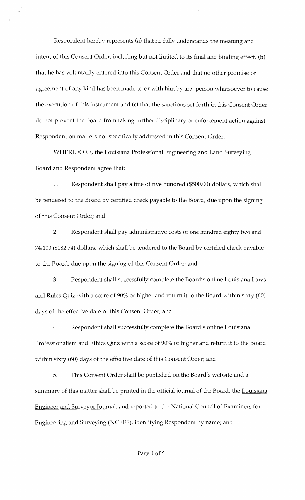Respondent hereby represents (a) that he fully understands the meaning and intent of this Consent Order, including but not limited to its final and binding effect, (b) that he has voluntarily entered into this Consent Order and that no other promise or agreement of any kind has been made to or with him by any person whatsoever to cause the execution of this instrument and (c) that the sanctions set forth in this Consent Order do not prevent the Board from taking further disciplinary or enforcement action against Respondent on matters not specifically addressed in this Consent Order.

WHEREFORE, the Louisiana Professional Engineering and Land Surveying Board and Respondent agree that:

1. Respondent shall pay a fine of five hundred (\$500.00) dollars, which shall be tendered to the Board by certified check payable to the Board, due upon the signing of this Consent Order; and

2. Respondent shall pay administrative costs of one hundred eighty two and 74/100 (\$182.74) dollars, which shall be tendered to the Board by certified check payable to the Board, due upon the signing of this Consent Order; and

3. Respondent shall successfully complete the Board's online Louisiana Laws and Rules Quiz with a score of 90% or higher and return it to the Board within sixty (60) days of the effective date of this Consent Order; and

4. Respondent shall successfully complete the Board's online Louisiana Professionalism and Ethics Quiz with a score of 90% or higher and return it to the Board within sixty (60) days of the effective date of this Consent Order; and

5. This Consent Order shall be published on the Board's website and a summary of this matter shall be printed in the official journal of the Board, the Louisiana Engineer and Surveyor Journal, and reported to the National Council of Examiners for Engineering and Surveying (NCEES), identifying Respondent by name; and